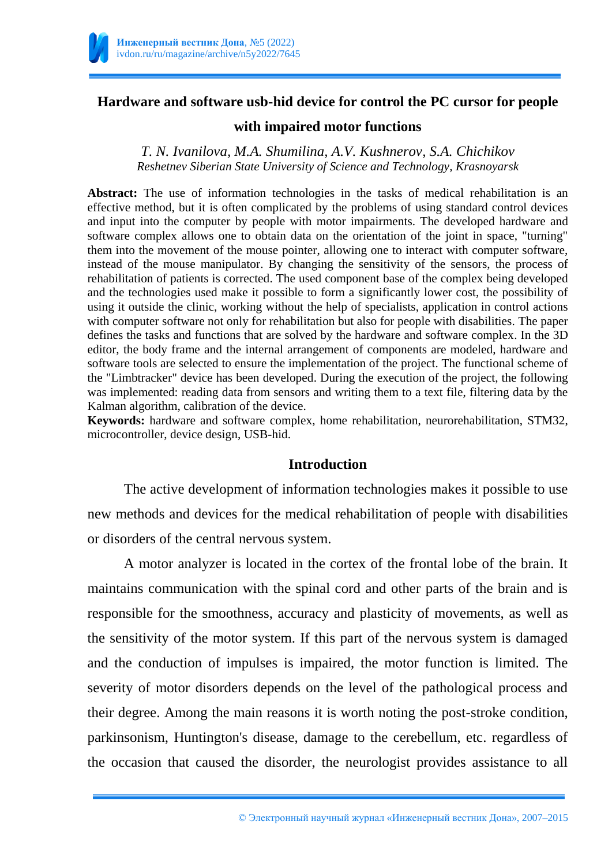

# **Hardware and software usb-hid device for control the PC cursor for people**

#### **with impaired motor functions**

*T. N. Ivanilova, M.A. Shumilina, A.V. Kushnerov, S.A. Chichikov Reshetnev Siberian State University of Science and Technology, Krasnoyarsk*

Abstract: The use of information technologies in the tasks of medical rehabilitation is an effective method, but it is often complicated by the problems of using standard control devices and input into the computer by people with motor impairments. The developed hardware and software complex allows one to obtain data on the orientation of the joint in space, "turning" them into the movement of the mouse pointer, allowing one to interact with computer software, instead of the mouse manipulator. By changing the sensitivity of the sensors, the process of rehabilitation of patients is corrected. The used component base of the complex being developed and the technologies used make it possible to form a significantly lower cost, the possibility of using it outside the clinic, working without the help of specialists, application in control actions with computer software not only for rehabilitation but also for people with disabilities. The paper defines the tasks and functions that are solved by the hardware and software complex. In the 3D editor, the body frame and the internal arrangement of components are modeled, hardware and software tools are selected to ensure the implementation of the project. The functional scheme of the "Limbtracker" device has been developed. During the execution of the project, the following was implemented: reading data from sensors and writing them to a text file, filtering data by the Kalman algorithm, calibration of the device.

**Keywords:** hardware and software complex, home rehabilitation, neurorehabilitation, STM32, microcontroller, device design, USB-hid.

#### **Introduction**

The active development of information technologies makes it possible to use new methods and devices for the medical rehabilitation of people with disabilities or disorders of the central nervous system.

A motor analyzer is located in the cortex of the frontal lobe of the brain. It maintains communication with the spinal cord and other parts of the brain and is responsible for the smoothness, accuracy and plasticity of movements, as well as the sensitivity of the motor system. If this part of the nervous system is damaged and the conduction of impulses is impaired, the motor function is limited. The severity of motor disorders depends on the level of the pathological process and their degree. Among the main reasons it is worth noting the post-stroke condition, parkinsonism, Huntington's disease, damage to the cerebellum, etc. regardless of the occasion that caused the disorder, the neurologist provides assistance to all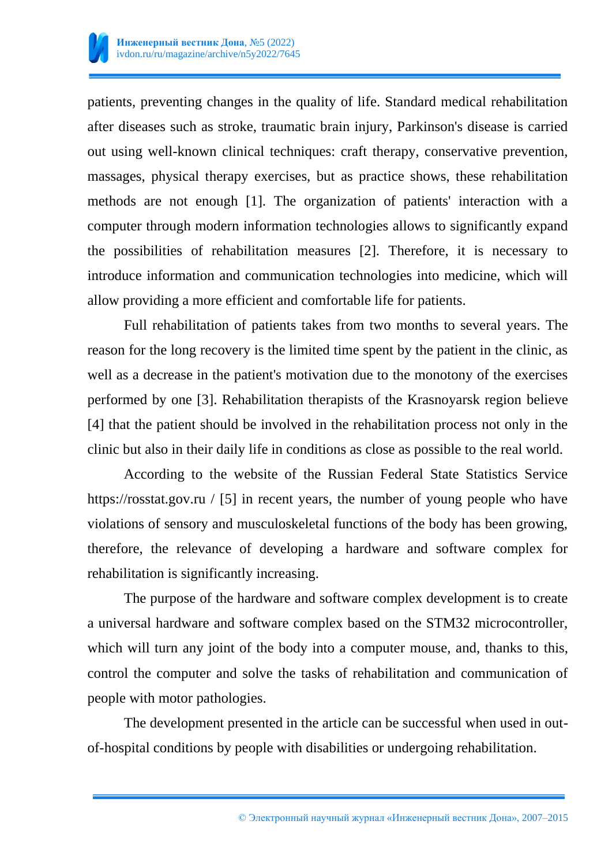

patients, preventing changes in the quality of life. Standard medical rehabilitation after diseases such as stroke, traumatic brain injury, Parkinson's disease is carried out using well-known clinical techniques: craft therapy, conservative prevention, massages, physical therapy exercises, but as practice shows, these rehabilitation methods are not enough [1]. The organization of patients' interaction with a computer through modern information technologies allows to significantly expand the possibilities of rehabilitation measures [2]. Therefore, it is necessary to introduce information and communication technologies into medicine, which will allow providing a more efficient and comfortable life for patients.

Full rehabilitation of patients takes from two months to several years. The reason for the long recovery is the limited time spent by the patient in the clinic, as well as a decrease in the patient's motivation due to the monotony of the exercises performed by one [3]. Rehabilitation therapists of the Krasnoyarsk region believe [4] that the patient should be involved in the rehabilitation process not only in the clinic but also in their daily life in conditions as close as possible to the real world.

According to the website of the Russian Federal State Statistics Service https://rosstat.gov.ru / [5] in recent years, the number of young people who have violations of sensory and musculoskeletal functions of the body has been growing, therefore, the relevance of developing a hardware and software complex for rehabilitation is significantly increasing.

The purpose of the hardware and software complex development is to create a universal hardware and software complex based on the STM32 microcontroller, which will turn any joint of the body into a computer mouse, and, thanks to this, control the computer and solve the tasks of rehabilitation and communication of people with motor pathologies.

The development presented in the article can be successful when used in outof-hospital conditions by people with disabilities or undergoing rehabilitation.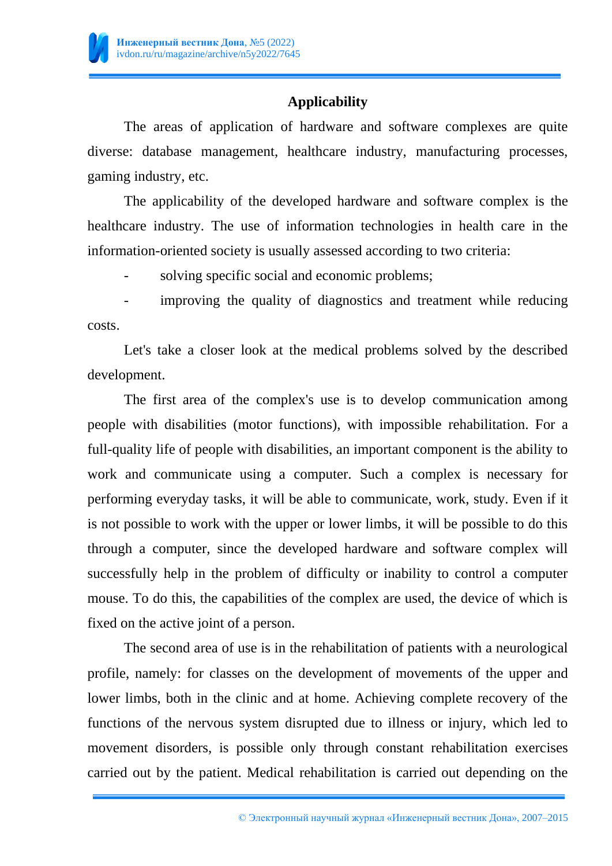

# **Applicability**

The areas of application of hardware and software complexes are quite diverse: database management, healthcare industry, manufacturing processes, gaming industry, etc.

The applicability of the developed hardware and software complex is the healthcare industry. The use of information technologies in health care in the information-oriented society is usually assessed according to two criteria:

solving specific social and economic problems;

improving the quality of diagnostics and treatment while reducing costs.

Let's take a closer look at the medical problems solved by the described development.

The first area of the complex's use is to develop communication among people with disabilities (motor functions), with impossible rehabilitation. For a full-quality life of people with disabilities, an important component is the ability to work and communicate using a computer. Such a complex is necessary for performing everyday tasks, it will be able to communicate, work, study. Even if it is not possible to work with the upper or lower limbs, it will be possible to do this through a computer, since the developed hardware and software complex will successfully help in the problem of difficulty or inability to control a computer mouse. To do this, the capabilities of the complex are used, the device of which is fixed on the active joint of a person.

The second area of use is in the rehabilitation of patients with a neurological profile, namely: for classes on the development of movements of the upper and lower limbs, both in the clinic and at home. Achieving complete recovery of the functions of the nervous system disrupted due to illness or injury, which led to movement disorders, is possible only through constant rehabilitation exercises carried out by the patient. Medical rehabilitation is carried out depending on the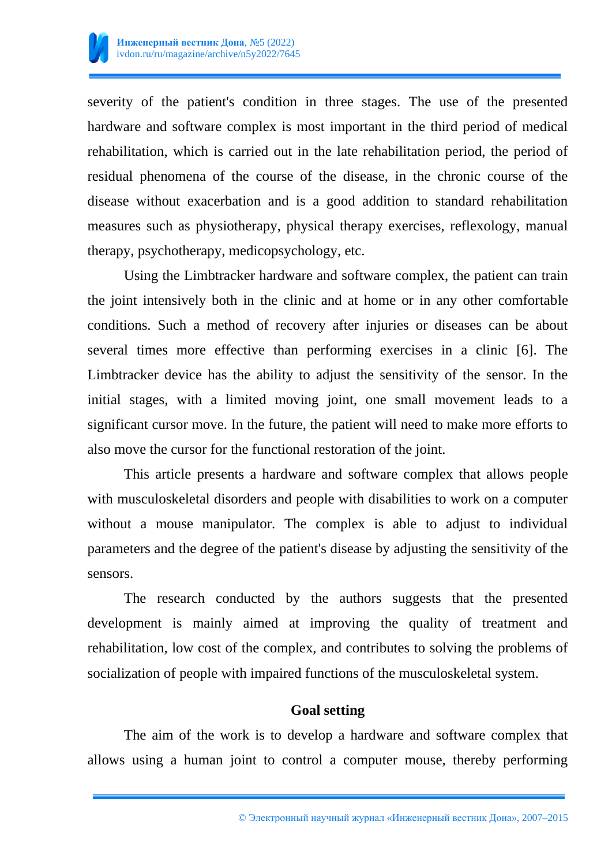

severity of the patient's condition in three stages. The use of the presented hardware and software complex is most important in the third period of medical rehabilitation, which is carried out in the late rehabilitation period, the period of residual phenomena of the course of the disease, in the chronic course of the disease without exacerbation and is a good addition to standard rehabilitation measures such as physiotherapy, physical therapy exercises, reflexology, manual therapy, psychotherapy, medicopsychology, etc.

Using the Limbtracker hardware and software complex, the patient can train the joint intensively both in the clinic and at home or in any other comfortable conditions. Such a method of recovery after injuries or diseases can be about several times more effective than performing exercises in a clinic [6]. The Limbtracker device has the ability to adjust the sensitivity of the sensor. In the initial stages, with a limited moving joint, one small movement leads to a significant cursor move. In the future, the patient will need to make more efforts to also move the cursor for the functional restoration of the joint.

This article presents a hardware and software complex that allows people with musculoskeletal disorders and people with disabilities to work on a computer without a mouse manipulator. The complex is able to adjust to individual parameters and the degree of the patient's disease by adjusting the sensitivity of the sensors.

The research conducted by the authors suggests that the presented development is mainly aimed at improving the quality of treatment and rehabilitation, low cost of the complex, and contributes to solving the problems of socialization of people with impaired functions of the musculoskeletal system.

#### **Goal setting**

The aim of the work is to develop a hardware and software complex that allows using a human joint to control a computer mouse, thereby performing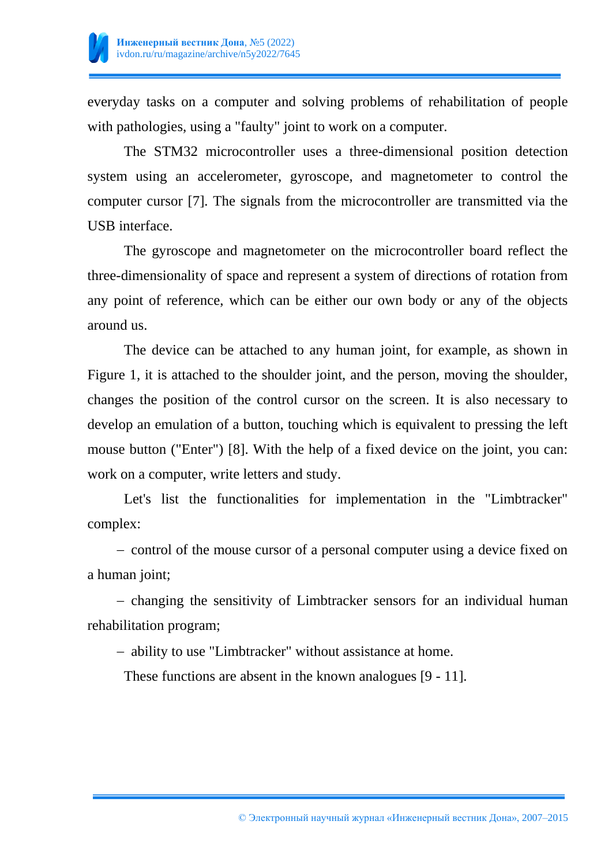

everyday tasks on a computer and solving problems of rehabilitation of people with pathologies, using a "faulty" joint to work on a computer.

The STM32 microcontroller uses a three-dimensional position detection system using an accelerometer, gyroscope, and magnetometer to control the computer cursor [7]. The signals from the microcontroller are transmitted via the USB interface.

The gyroscope and magnetometer on the microcontroller board reflect the three-dimensionality of space and represent a system of directions of rotation from any point of reference, which can be either our own body or any of the objects around us.

The device can be attached to any human joint, for example, as shown in Figure 1, it is attached to the shoulder joint, and the person, moving the shoulder, changes the position of the control cursor on the screen. It is also necessary to develop an emulation of a button, touching which is equivalent to pressing the left mouse button ("Enter") [8]. With the help of a fixed device on the joint, you can: work on a computer, write letters and study.

Let's list the functionalities for implementation in the "Limbtracker" complex:

- control of the mouse cursor of a personal computer using a device fixed on a human joint;

 changing the sensitivity of Limbtracker sensors for an individual human rehabilitation program;

ability to use "Limbtracker" without assistance at home.

These functions are absent in the known analogues [9 - 11].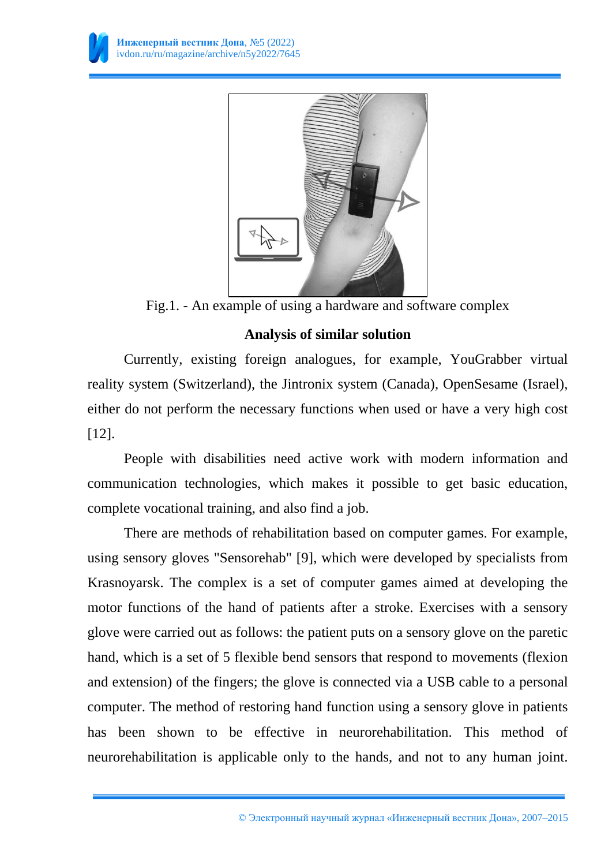

Fig.1. - An example of using a hardware and software complex

# **Analysis of similar solution**

Currently, existing foreign analogues, for example, YouGrabber virtual reality system (Switzerland), the Jintronix system (Canada), OpenSesame (Israel), either do not perform the necessary functions when used or have a very high cost [12].

People with disabilities need active work with modern information and communication technologies, which makes it possible to get basic education, complete vocational training, and also find a job.

There are methods of rehabilitation based on computer games. For example, using sensory gloves "Sensorehab" [9], which were developed by specialists from Krasnoyarsk. The complex is a set of computer games aimed at developing the motor functions of the hand of patients after a stroke. Exercises with a sensory glove were carried out as follows: the patient puts on a sensory glove on the paretic hand, which is a set of 5 flexible bend sensors that respond to movements (flexion and extension) of the fingers; the glove is connected via a USB cable to a personal computer. The method of restoring hand function using a sensory glove in patients has been shown to be effective in neurorehabilitation. This method of neurorehabilitation is applicable only to the hands, and not to any human joint.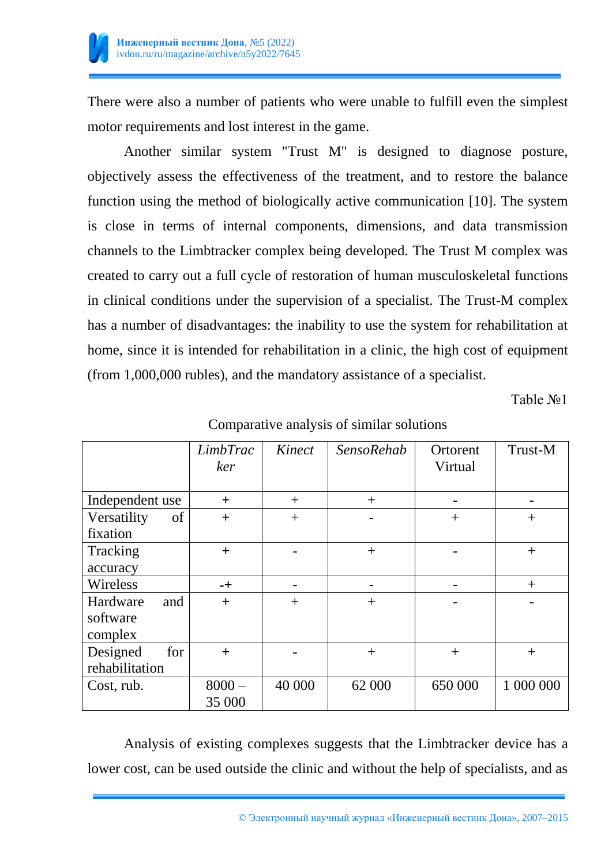

There were also a number of patients who were unable to fulfill even the simplest motor requirements and lost interest in the game.

Another similar system "Trust M" is designed to diagnose posture, objectively assess the effectiveness of the treatment, and to restore the balance function using the method of biologically active communication [10]. The system is close in terms of internal components, dimensions, and data transmission channels to the Limbtracker complex being developed. The Trust M complex was created to carry out a full cycle of restoration of human musculoskeletal functions in clinical conditions under the supervision of a specialist. The Trust-M complex has a number of disadvantages: the inability to use the system for rehabilitation at home, since it is intended for rehabilitation in a clinic, the high cost of equipment (from 1,000,000 rubles), and the mandatory assistance of a specialist.

Table №1

|                   | <i>LimbTrac</i><br>ker | Kinect | <b>SensoRehab</b> | Ortorent<br>Virtual | Trust-M   |
|-------------------|------------------------|--------|-------------------|---------------------|-----------|
|                   |                        |        |                   |                     |           |
| Independent use   | $^{+}$                 | $^{+}$ | $^{+}$            |                     |           |
| Versatility<br>of | $+$                    | $^{+}$ |                   | $+$                 | $+$       |
| fixation          |                        |        |                   |                     |           |
| Tracking          | $+$                    |        | $^{+}$            |                     | $^{+}$    |
| accuracy          |                        |        |                   |                     |           |
| Wireless          | $-+$                   |        | -                 |                     | $+$       |
| Hardware<br>and   | $^{+}$                 | $^{+}$ | $^{+}$            |                     |           |
| software          |                        |        |                   |                     |           |
| complex           |                        |        |                   |                     |           |
| for<br>Designed   | $^{+}$                 |        | $^{+}$            | $^{+}$              | $^{+}$    |
| rehabilitation    |                        |        |                   |                     |           |
| Cost, rub.        | $8000 -$               | 40 000 | 62 000            | 650 000             | 1 000 000 |
|                   | 35 000                 |        |                   |                     |           |

Comparative analysis of similar solutions

Analysis of existing complexes suggests that the Limbtracker device has a lower cost, can be used outside the clinic and without the help of specialists, and as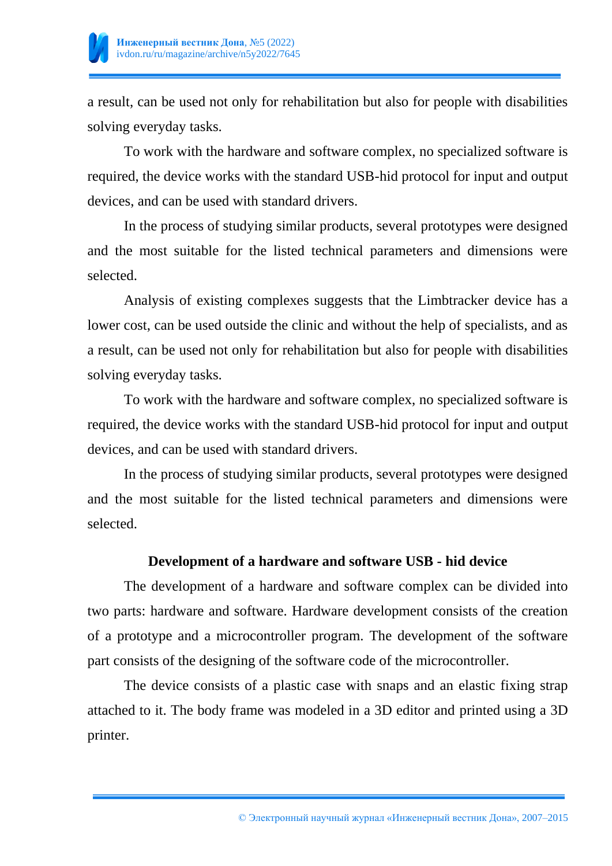

a result, can be used not only for rehabilitation but also for people with disabilities solving everyday tasks.

To work with the hardware and software complex, no specialized software is required, the device works with the standard USB-hid protocol for input and output devices, and can be used with standard drivers.

In the process of studying similar products, several prototypes were designed and the most suitable for the listed technical parameters and dimensions were selected.

Analysis of existing complexes suggests that the Limbtracker device has a lower cost, can be used outside the clinic and without the help of specialists, and as a result, can be used not only for rehabilitation but also for people with disabilities solving everyday tasks.

To work with the hardware and software complex, no specialized software is required, the device works with the standard USB-hid protocol for input and output devices, and can be used with standard drivers.

In the process of studying similar products, several prototypes were designed and the most suitable for the listed technical parameters and dimensions were selected.

# **Development of a hardware and software USB - hid device**

The development of a hardware and software complex can be divided into two parts: hardware and software. Hardware development consists of the creation of a prototype and a microcontroller program. The development of the software part consists of the designing of the software code of the microcontroller.

The device consists of a plastic case with snaps and an elastic fixing strap attached to it. The body frame was modeled in a 3D editor and printed using a 3D printer.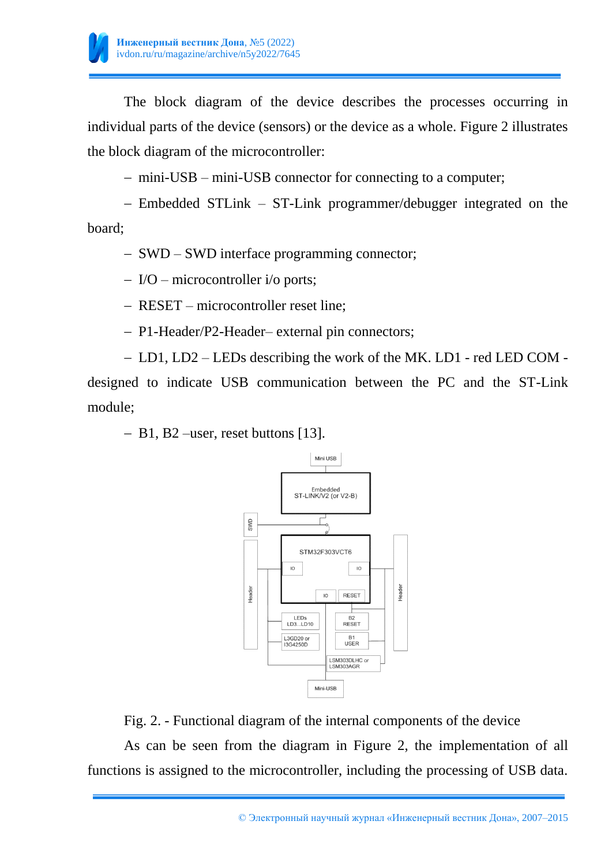

The block diagram of the device describes the processes occurring in individual parts of the device (sensors) or the device as a whole. Figure 2 illustrates the block diagram of the microcontroller:

mini-USB – mini-USB connector for connecting to a computer;

 Embedded STLink – ST-Link programmer/debugger integrated on the board;

– SWD – SWD interface programming connector;

I/O – microcontroller i/o ports;

RESET – microcontroller reset line;

- P1-Header/P2-Header– external pin connectors;

 LD1, LD2 – LEDs describing the work of the MK. LD1 - red LED COM designed to indicate USB communication between the PC and the ST-Link module;

B1, B2 –user, reset buttons [13].



Fig. 2. - Functional diagram of the internal components of the device

As can be seen from the diagram in Figure 2, the implementation of all functions is assigned to the microcontroller, including the processing of USB data.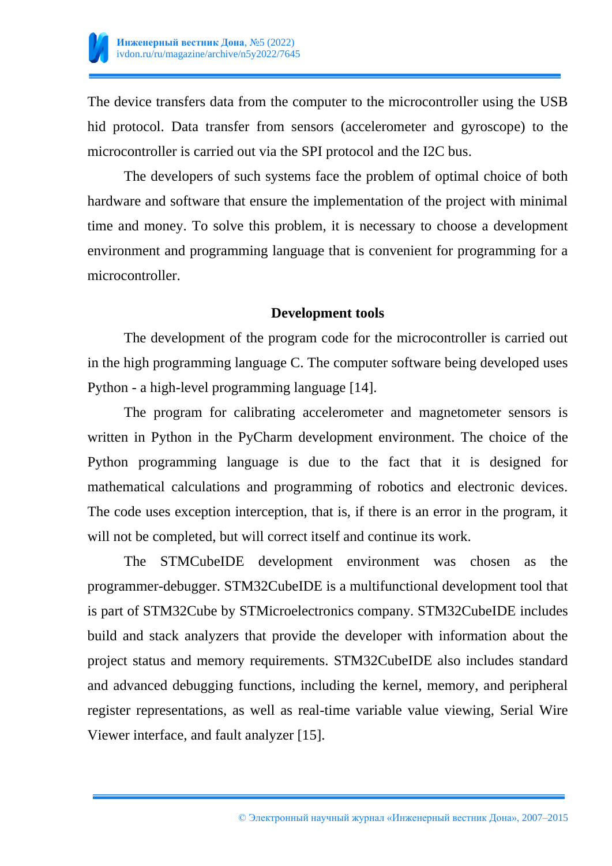

The device transfers data from the computer to the microcontroller using the USB hid protocol. Data transfer from sensors (accelerometer and gyroscope) to the microcontroller is carried out via the SPI protocol and the I2C bus.

The developers of such systems face the problem of optimal choice of both hardware and software that ensure the implementation of the project with minimal time and money. To solve this problem, it is necessary to choose a development environment and programming language that is convenient for programming for a microcontroller.

### **Development tools**

The development of the program code for the microcontroller is carried out in the high programming language C. The computer software being developed uses Python - a high-level programming language [14].

The program for calibrating accelerometer and magnetometer sensors is written in Python in the PyCharm development environment. The choice of the Python programming language is due to the fact that it is designed for mathematical calculations and programming of robotics and electronic devices. The code uses exception interception, that is, if there is an error in the program, it will not be completed, but will correct itself and continue its work.

The STMCubeIDE development environment was chosen as the programmer-debugger. STM32CubeIDE is a multifunctional development tool that is part of STM32Cube by STMicroelectronics company. STM32CubeIDE includes build and stack analyzers that provide the developer with information about the project status and memory requirements. STM32CubeIDE also includes standard and advanced debugging functions, including the kernel, memory, and peripheral register representations, as well as real-time variable value viewing, Serial Wire Viewer interface, and fault analyzer [15].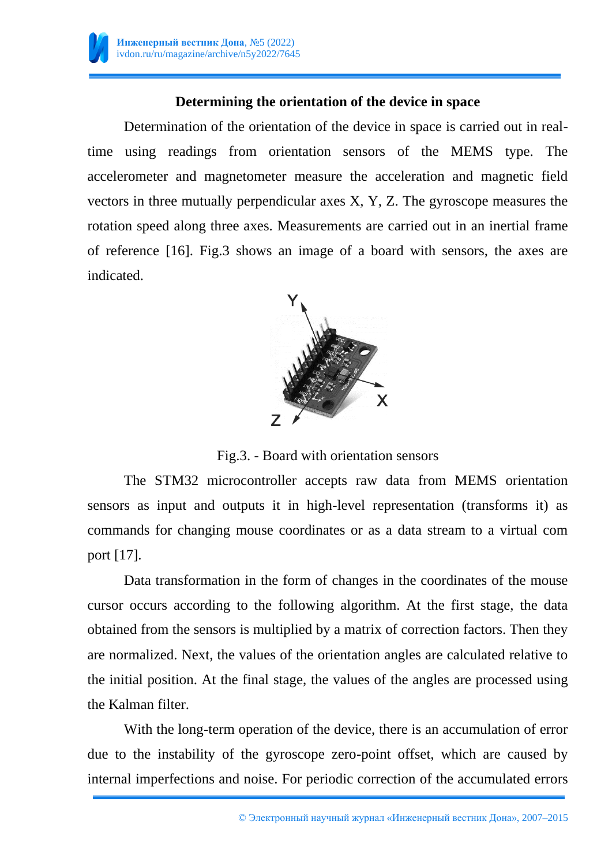

# **Determining the orientation of the device in space**

Determination of the orientation of the device in space is carried out in realtime using readings from orientation sensors of the MEMS type. The accelerometer and magnetometer measure the acceleration and magnetic field vectors in three mutually perpendicular axes X, Y, Z. The gyroscope measures the rotation speed along three axes. Measurements are carried out in an inertial frame of reference [16]. Fig.3 shows an image of a board with sensors, the axes are indicated.



Fig.3. - Board with orientation sensors

The STM32 microcontroller accepts raw data from MEMS orientation sensors as input and outputs it in high-level representation (transforms it) as commands for changing mouse coordinates or as a data stream to a virtual com port [17].

Data transformation in the form of changes in the coordinates of the mouse cursor occurs according to the following algorithm. At the first stage, the data obtained from the sensors is multiplied by a matrix of correction factors. Then they are normalized. Next, the values of the orientation angles are calculated relative to the initial position. At the final stage, the values of the angles are processed using the Kalman filter.

With the long-term operation of the device, there is an accumulation of error due to the instability of the gyroscope zero-point offset, which are caused by internal imperfections and noise. For periodic correction of the accumulated errors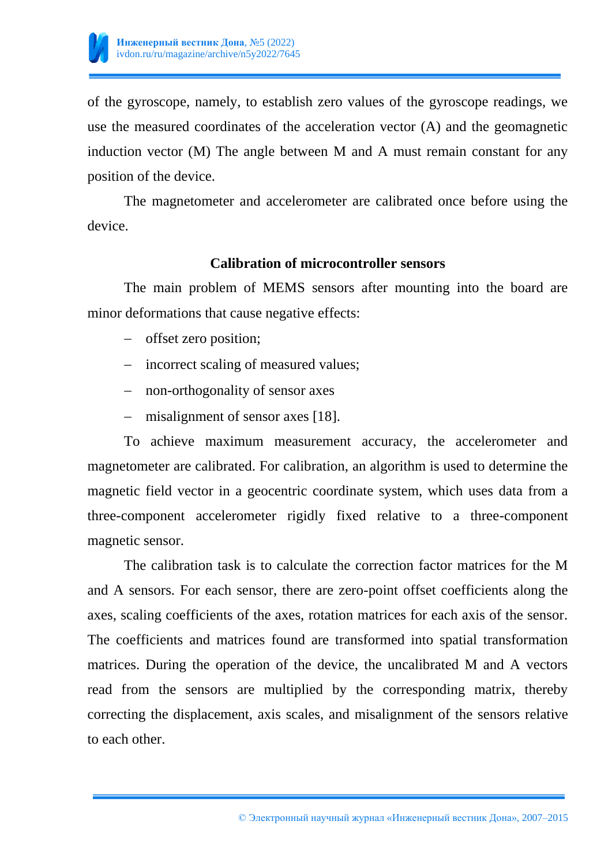

of the gyroscope, namely, to establish zero values of the gyroscope readings, we use the measured coordinates of the acceleration vector (A) and the geomagnetic induction vector (M) The angle between M and A must remain constant for any position of the device.

The magnetometer and accelerometer are calibrated once before using the device.

#### **Calibration of microcontroller sensors**

The main problem of MEMS sensors after mounting into the board are minor deformations that cause negative effects:

- offset zero position;
- incorrect scaling of measured values;
- non-orthogonality of sensor axes
- misalignment of sensor axes [18].

To achieve maximum measurement accuracy, the accelerometer and magnetometer are calibrated. For calibration, an algorithm is used to determine the magnetic field vector in a geocentric coordinate system, which uses data from a three-component accelerometer rigidly fixed relative to a three-component magnetic sensor.

The calibration task is to calculate the correction factor matrices for the M and A sensors. For each sensor, there are zero-point offset coefficients along the axes, scaling coefficients of the axes, rotation matrices for each axis of the sensor. The coefficients and matrices found are transformed into spatial transformation matrices. During the operation of the device, the uncalibrated M and A vectors read from the sensors are multiplied by the corresponding matrix, thereby correcting the displacement, axis scales, and misalignment of the sensors relative to each other.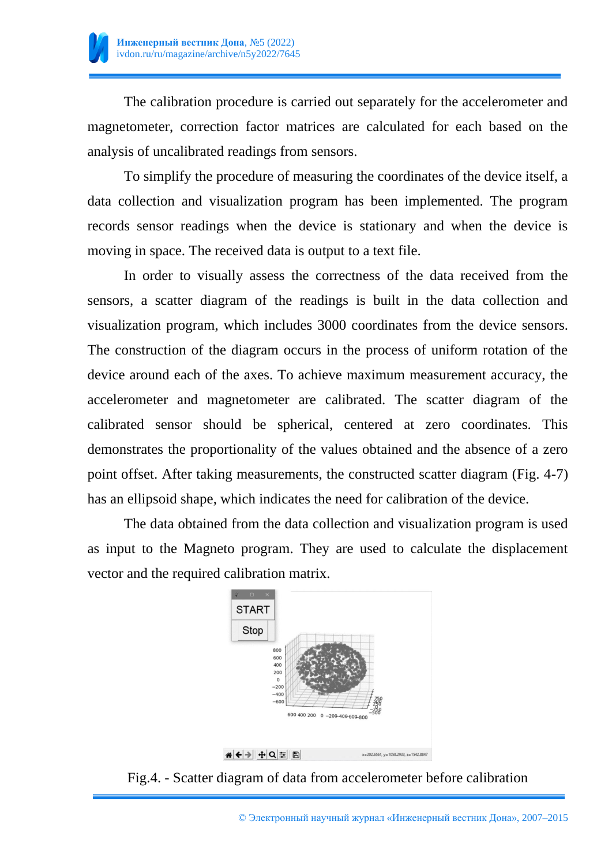

The calibration procedure is carried out separately for the accelerometer and magnetometer, correction factor matrices are calculated for each based on the analysis of uncalibrated readings from sensors.

To simplify the procedure of measuring the coordinates of the device itself, a data collection and visualization program has been implemented. The program records sensor readings when the device is stationary and when the device is moving in space. The received data is output to a text file.

In order to visually assess the correctness of the data received from the sensors, a scatter diagram of the readings is built in the data collection and visualization program, which includes 3000 coordinates from the device sensors. The construction of the diagram occurs in the process of uniform rotation of the device around each of the axes. To achieve maximum measurement accuracy, the accelerometer and magnetometer are calibrated. The scatter diagram of the calibrated sensor should be spherical, centered at zero coordinates. This demonstrates the proportionality of the values obtained and the absence of a zero point offset. After taking measurements, the constructed scatter diagram (Fig. 4-7) has an ellipsoid shape, which indicates the need for calibration of the device.

The data obtained from the data collection and visualization program is used as input to the Magneto program. They are used to calculate the displacement vector and the required calibration matrix.



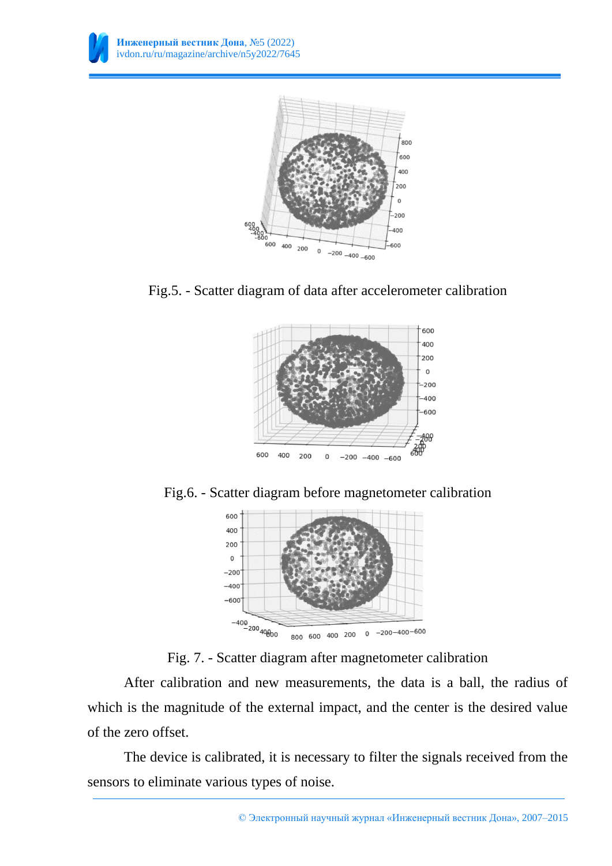











Fig. 7. - Scatter diagram after magnetometer calibration

After calibration and new measurements, the data is a ball, the radius of which is the magnitude of the external impact, and the center is the desired value of the zero offset.

The device is calibrated, it is necessary to filter the signals received from the sensors to eliminate various types of noise.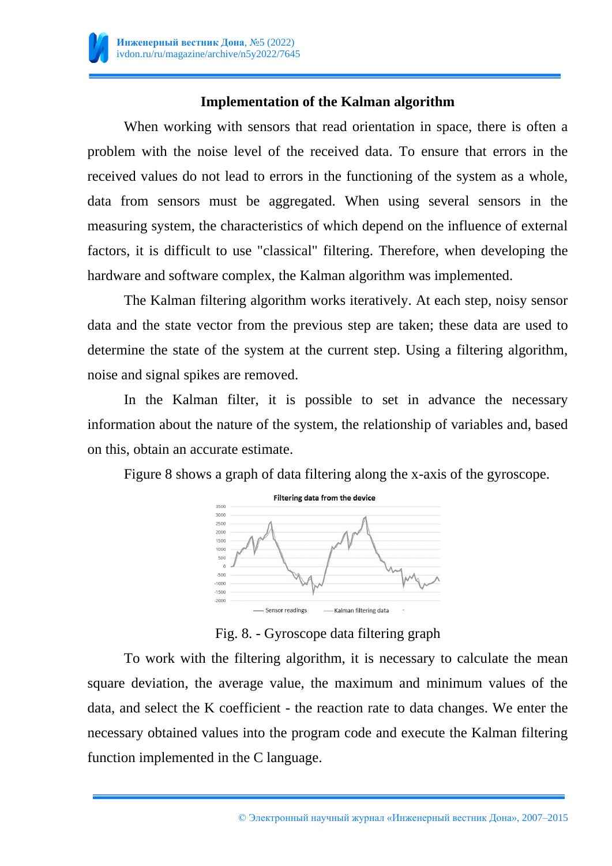

# **Implementation of the Kalman algorithm**

When working with sensors that read orientation in space, there is often a problem with the noise level of the received data. To ensure that errors in the received values do not lead to errors in the functioning of the system as a whole, data from sensors must be aggregated. When using several sensors in the measuring system, the characteristics of which depend on the influence of external factors, it is difficult to use "classical" filtering. Therefore, when developing the hardware and software complex, the Kalman algorithm was implemented.

The Kalman filtering algorithm works iteratively. At each step, noisy sensor data and the state vector from the previous step are taken; these data are used to determine the state of the system at the current step. Using a filtering algorithm, noise and signal spikes are removed.

In the Kalman filter, it is possible to set in advance the necessary information about the nature of the system, the relationship of variables and, based on this, obtain an accurate estimate.

Figure 8 shows a graph of data filtering along the x-axis of the gyroscope.



Fig. 8. - Gyroscope data filtering graph

To work with the filtering algorithm, it is necessary to calculate the mean square deviation, the average value, the maximum and minimum values of the data, and select the K coefficient - the reaction rate to data changes. We enter the necessary obtained values into the program code and execute the Kalman filtering function implemented in the C language.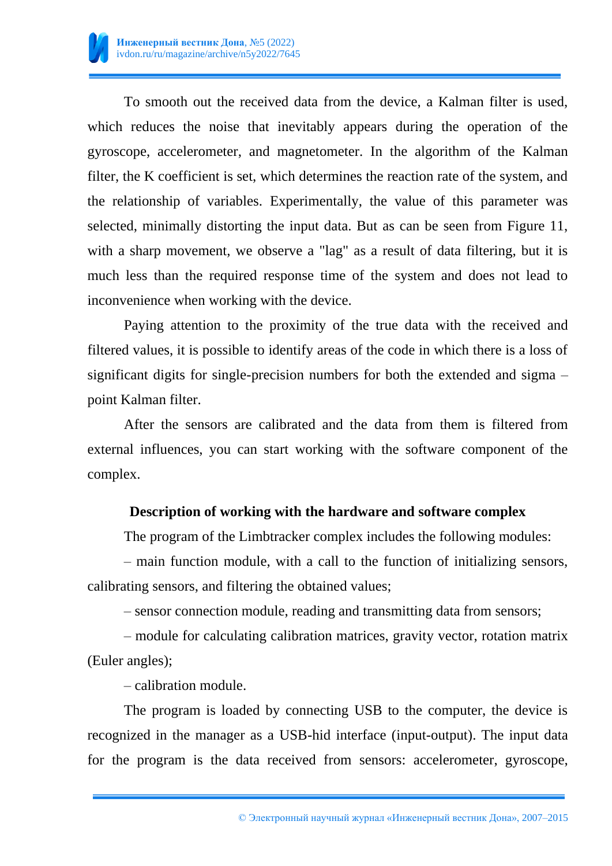

To smooth out the received data from the device, a Kalman filter is used, which reduces the noise that inevitably appears during the operation of the gyroscope, accelerometer, and magnetometer. In the algorithm of the Kalman filter, the K coefficient is set, which determines the reaction rate of the system, and the relationship of variables. Experimentally, the value of this parameter was selected, minimally distorting the input data. But as can be seen from Figure 11, with a sharp movement, we observe a "lag" as a result of data filtering, but it is much less than the required response time of the system and does not lead to inconvenience when working with the device.

Paying attention to the proximity of the true data with the received and filtered values, it is possible to identify areas of the code in which there is a loss of significant digits for single-precision numbers for both the extended and sigma – point Kalman filter.

After the sensors are calibrated and the data from them is filtered from external influences, you can start working with the software component of the complex.

#### **Description of working with the hardware and software complex**

The program of the Limbtracker complex includes the following modules:

– main function module, with a call to the function of initializing sensors, calibrating sensors, and filtering the obtained values;

– sensor connection module, reading and transmitting data from sensors;

– module for calculating calibration matrices, gravity vector, rotation matrix (Euler angles);

– calibration module.

The program is loaded by connecting USB to the computer, the device is recognized in the manager as a USB-hid interface (input-output). The input data for the program is the data received from sensors: accelerometer, gyroscope,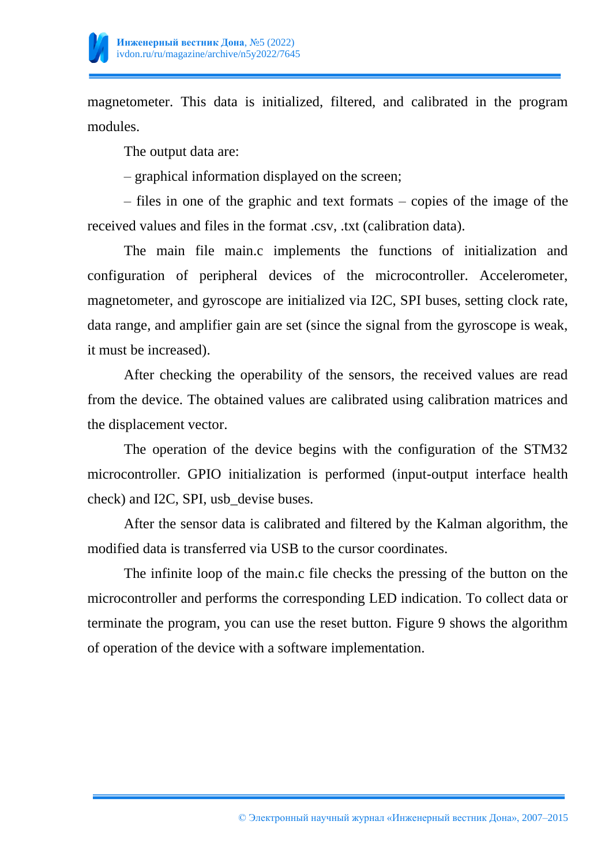

magnetometer. This data is initialized, filtered, and calibrated in the program modules.

The output data are:

– graphical information displayed on the screen;

– files in one of the graphic and text formats – copies of the image of the received values and files in the format .csv, .txt (calibration data).

The main file main.c implements the functions of initialization and configuration of peripheral devices of the microcontroller. Accelerometer, magnetometer, and gyroscope are initialized via I2C, SPI buses, setting clock rate, data range, and amplifier gain are set (since the signal from the gyroscope is weak, it must be increased).

After checking the operability of the sensors, the received values are read from the device. The obtained values are calibrated using calibration matrices and the displacement vector.

The operation of the device begins with the configuration of the STM32 microcontroller. GPIO initialization is performed (input-output interface health check) and I2C, SPI, usb\_devise buses.

After the sensor data is calibrated and filtered by the Kalman algorithm, the modified data is transferred via USB to the cursor coordinates.

The infinite loop of the main.c file checks the pressing of the button on the microcontroller and performs the corresponding LED indication. To collect data or terminate the program, you can use the reset button. Figure 9 shows the algorithm of operation of the device with a software implementation.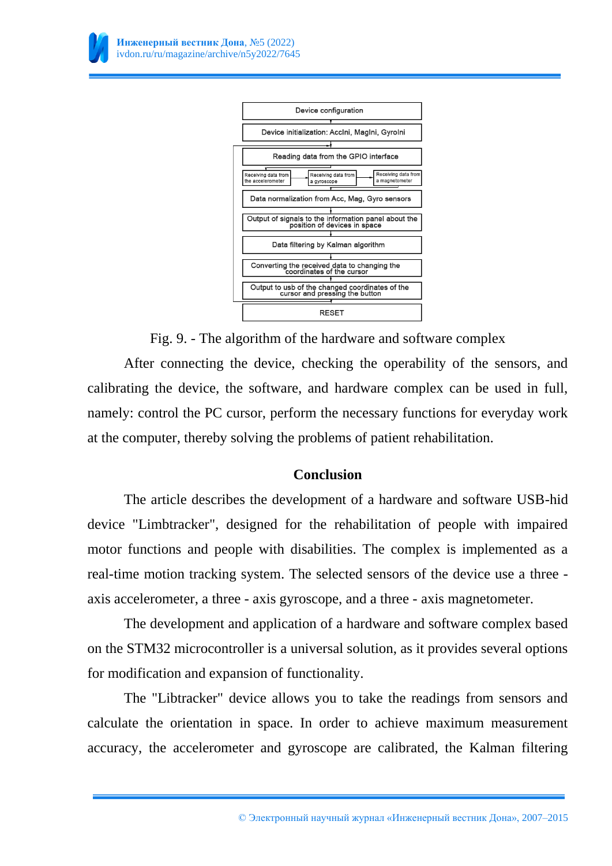

Fig. 9. - The algorithm of the hardware and software complex

After connecting the device, checking the operability of the sensors, and calibrating the device, the software, and hardware complex can be used in full, namely: control the PC cursor, perform the necessary functions for everyday work at the computer, thereby solving the problems of patient rehabilitation.

# **Conclusion**

The article describes the development of a hardware and software USB-hid device "Limbtracker", designed for the rehabilitation of people with impaired motor functions and people with disabilities. The complex is implemented as a real-time motion tracking system. The selected sensors of the device use a three axis accelerometer, a three - axis gyroscope, and a three - axis magnetometer.

The development and application of a hardware and software complex based on the STM32 microcontroller is a universal solution, as it provides several options for modification and expansion of functionality.

The "Libtracker" device allows you to take the readings from sensors and calculate the orientation in space. In order to achieve maximum measurement accuracy, the accelerometer and gyroscope are calibrated, the Kalman filtering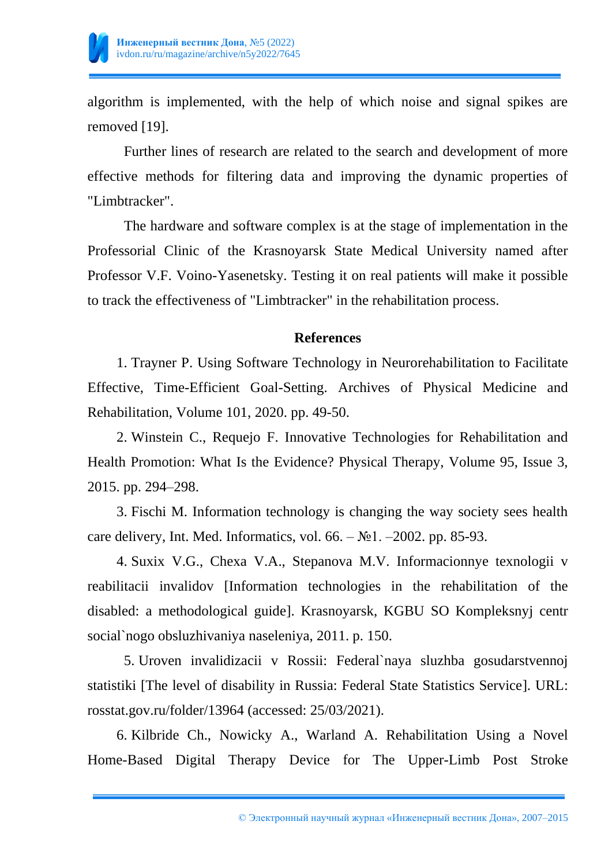

algorithm is implemented, with the help of which noise and signal spikes are removed [19].

Further lines of research are related to the search and development of more effective methods for filtering data and improving the dynamic properties of "Limbtracker".

The hardware and software complex is at the stage of implementation in the Professorial Clinic of the Krasnoyarsk State Medical University named after Professor V.F. Voino-Yasenetsky. Testing it on real patients will make it possible to track the effectiveness of "Limbtracker" in the rehabilitation process.

#### **References**

1. Trayner P. Using Software Technology in Neurorehabilitation to Facilitate Effective, Time-Efficient Goal-Setting. Archives of Physical Medicine and Rehabilitation, Volume 101, 2020. pp. 49-50.

2. Winstein C., Requejo F. Innovative Technologies for Rehabilitation and Health Promotion: What Is the Evidence? Physical Therapy, Volume 95, Issue 3, 2015. pp. 294–298.

3. Fischi M. Information technology is changing the way society sees health care delivery, Int. Med. Informatics, vol.  $66. - N<sub>2</sub>1. -2002$ . pp. 85-93.

4. Suxix V.G., Chexa V.A., Stepanova M.V. Informacionnye texnologii v reabilitacii invalidov [Information technologies in the rehabilitation of the disabled: a methodological guide]. Krasnoyarsk, KGBU SO Kompleksnyj centr social`nogo obsluzhivaniya naseleniya, 2011. p. 150.

5. Uroven invalidizacii v Rossii: Federal`naya sluzhba gosudarstvennoj statistiki [The level of disability in Russia: Federal State Statistics Service]. URL: rosstat.gov.ru/folder/13964 (accessed: 25/03/2021).

6. Kilbride Ch., Nowicky A., Warland A. Rehabilitation Using a Novel Home-Based Digital Therapy Device for The Upper-Limb Post Stroke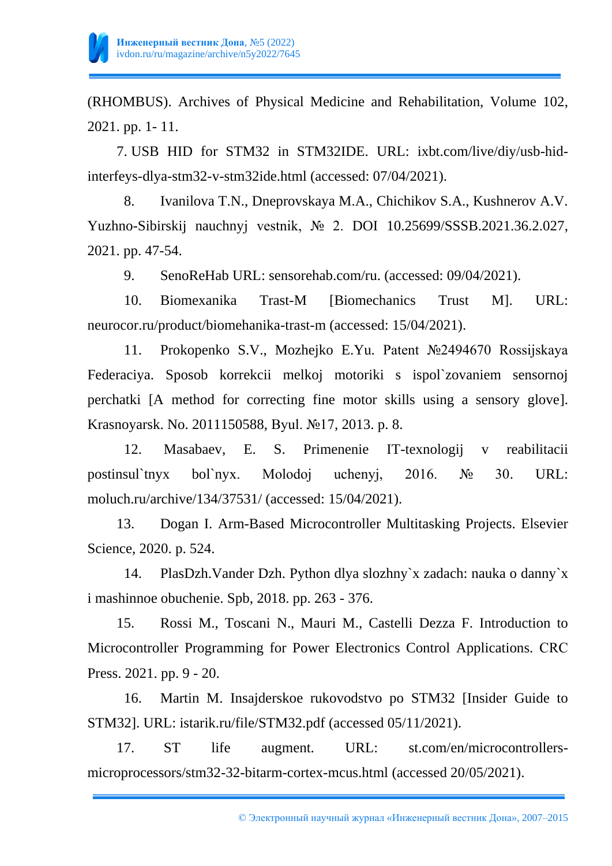

(RHOMBUS). Archives of Physical Medicine and Rehabilitation, Volume 102, 2021. pp. 1- 11.

7. USB HID for STM32 in STM32IDE. URL: ixbt.com/live/diy/usb-hidinterfeys-dlya-stm32-v-stm32ide.html (accessed: 07/04/2021).

8. Ivanilova T.N., Dneprovskaya M.A., Chichikov S.A., Kushnerov A.V. Yuzhno-Sibirskij nauchnyj vestnik, № 2. DOI 10.25699/SSSB.2021.36.2.027, 2021. pp. 47-54.

9. SenoReHab URL: sensorehab.com/ru. (accessed: 09/04/2021).

10. Biomexanika Trast-M [Biomechanics Trust M]. URL: neurocor.ru/product/biomehanika-trast-m (accessed: 15/04/2021).

11. Prokopenko S.V., Mozhejko E.Yu. Patent №2494670 Rossijskaya Federaciya. Sposob korrekcii melkoj motoriki s ispol`zovaniem sensornoj perchatki [A method for correcting fine motor skills using a sensory glove]. Krasnoyarsk. No. 2011150588, Byul. №17, 2013. p. 8.

12. Masabaev, E. S. Primenenie IT-texnologij v reabilitacii postinsul`tnyx bol`nyx. Molodoj uchenyj, 2016. № 30. URL: moluch.ru/archive/134/37531/ (accessed: 15/04/2021).

13. Dogan I. Arm-Based Microcontroller Multitasking Projects. Elsevier Science, 2020. p. 524.

14. PlasDzh.Vander Dzh. Python dlya slozhny`x zadach: nauka o danny`x i mashinnoe obuchenie. Spb, 2018. pp. 263 - 376.

15. Rossi M., Toscani N., Mauri M., Castelli Dezza F. Introduction to Microcontroller Programming for Power Electronics Control Applications. CRС Press. 2021. pp. 9 - 20.

16. Martin M. Insajderskoe rukovodstvo po STM32 [Insider Guide to STM32]. URL: istarik.ru/file/STM32.pdf (accessed 05/11/2021).

17. ST life augment. URL: st.com/en/microcontrollersmicroprocessors/stm32-32-bitarm-cortex-mcus.html (accessed 20/05/2021).